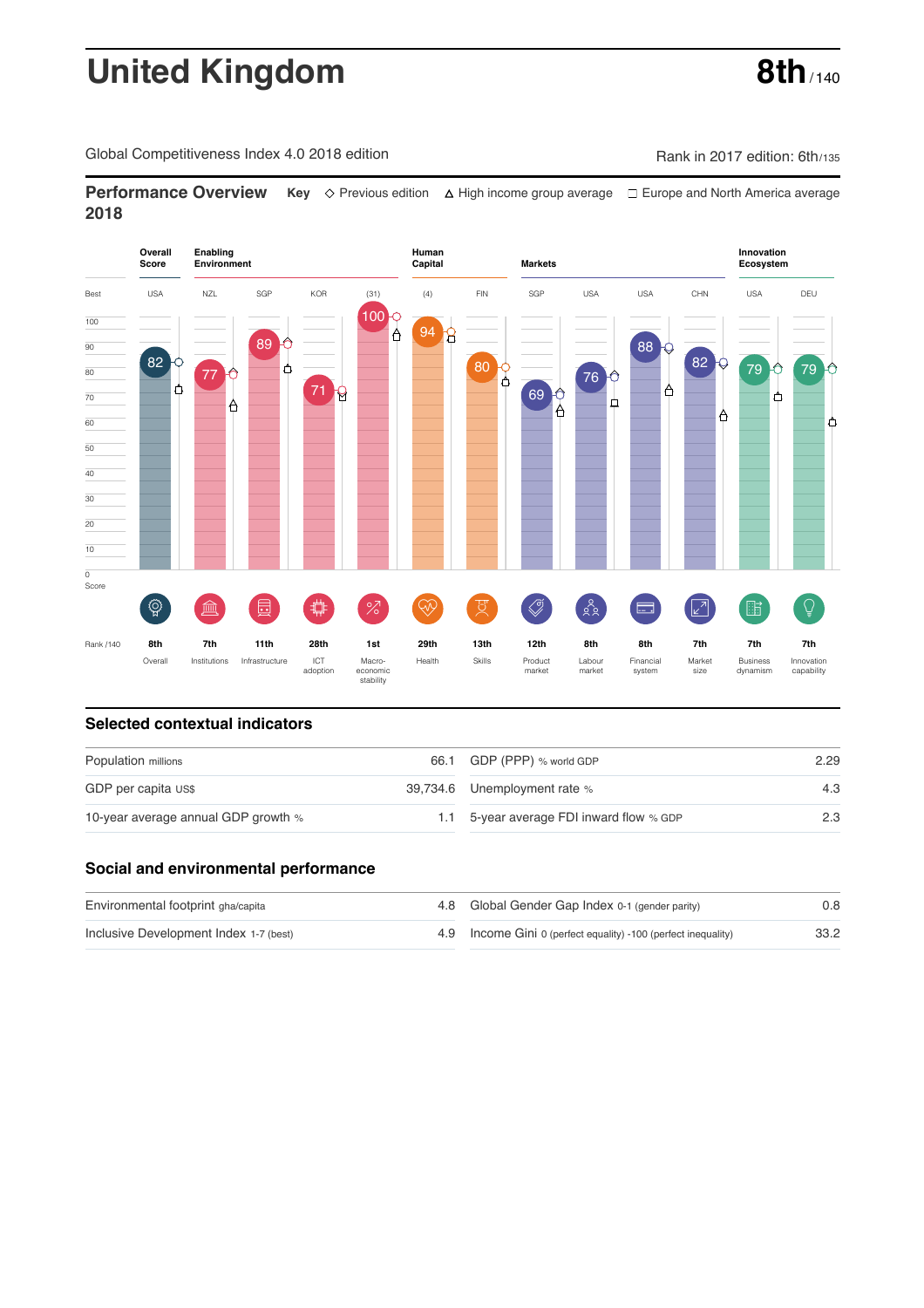# **United Kingdom** 8th<sub>/140</sub>

Global Competitiveness Index 4.0 2018 edition **Rank in 2017** edition: 6th/135

**Performance Overview** Key  $\Diamond$  Previous edition ∆ High income group average  $\Box$  Europe and North America average **2018**



#### **Selected contextual indicators**

| Population millions                 | 66.1 GDP (PPP) % world GDP           | 2.29 |  |
|-------------------------------------|--------------------------------------|------|--|
| GDP per capita US\$                 | 39,734.6 Unemployment rate %         | 4.3  |  |
| 10-year average annual GDP growth % | 5-year average FDI inward flow % GDP | 2.3  |  |

#### **Social and environmental performance**

| Environmental footprint gha/capita     | 4.8 Global Gender Gap Index 0-1 (gender parity)                | 0.8  |
|----------------------------------------|----------------------------------------------------------------|------|
| Inclusive Development Index 1-7 (best) | 4.9 Income Gini 0 (perfect equality) -100 (perfect inequality) | 33.2 |

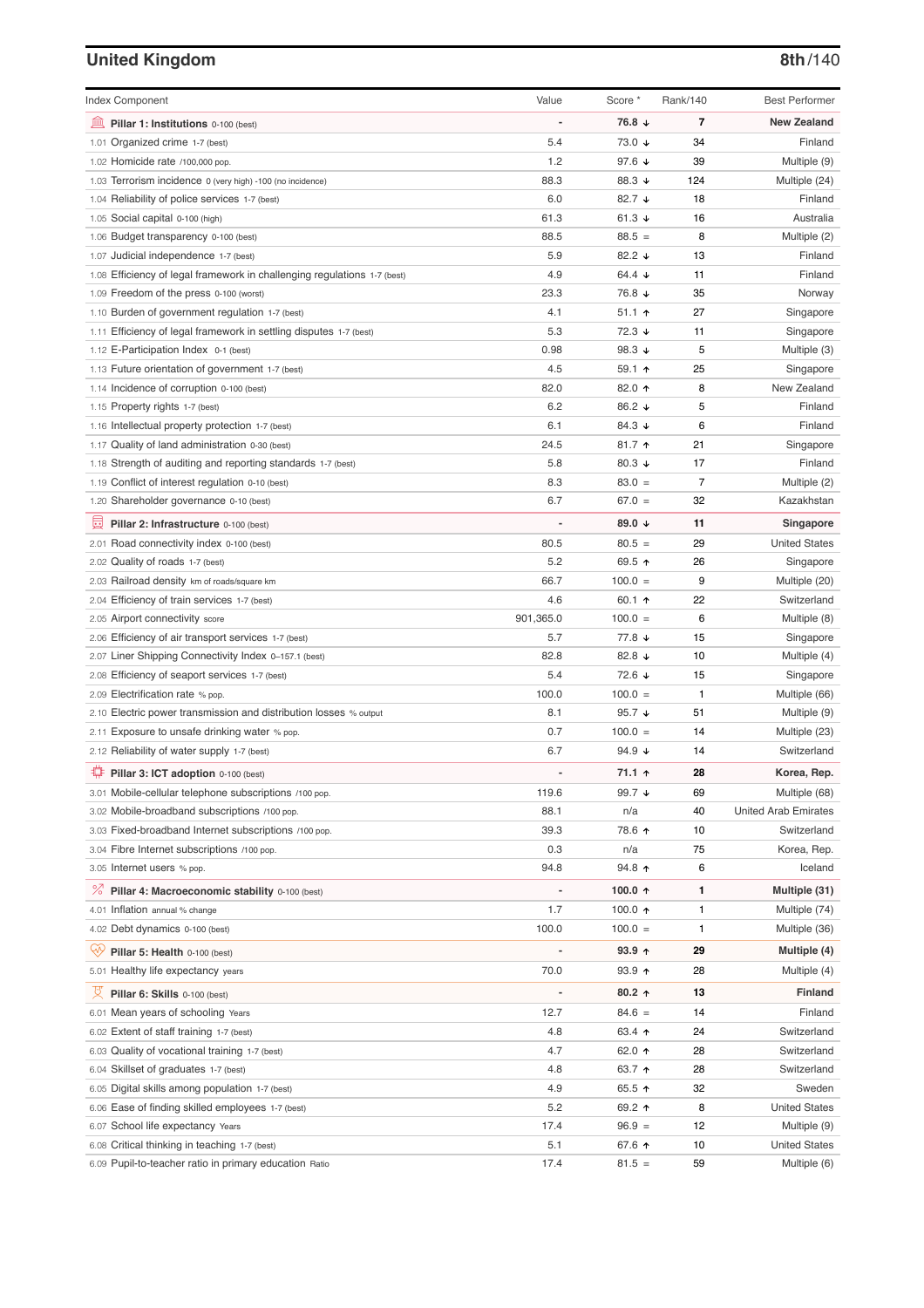### **United Kingdom 8th**/140

| <b>Index Component</b>                                                   | Value                    | Score *              | Rank/140 | <b>Best Performer</b>        |
|--------------------------------------------------------------------------|--------------------------|----------------------|----------|------------------------------|
| 寙<br>Pillar 1: Institutions 0-100 (best)                                 |                          | 76.8 ↓               | 7        | <b>New Zealand</b>           |
| 1.01 Organized crime 1-7 (best)                                          | 5.4                      | 73.0 ↓               | 34       | Finland                      |
| 1.02 Homicide rate /100,000 pop.                                         | 1.2                      | 97.6 ↓               | 39       | Multiple (9)                 |
| 1.03 Terrorism incidence 0 (very high) -100 (no incidence)               | 88.3                     | 88.3 ↓               | 124      | Multiple (24)                |
| 1.04 Reliability of police services 1-7 (best)                           | 6.0                      | 82.7 ↓               | 18       | Finland                      |
| 1.05 Social capital 0-100 (high)                                         | 61.3                     | 61.3 $\sqrt{ }$      | 16       | Australia                    |
| 1.06 Budget transparency 0-100 (best)                                    | 88.5                     | $88.5 =$             | 8        | Multiple (2)                 |
| 1.07 Judicial independence 1-7 (best)                                    | 5.9                      | 82.2 ↓               | 13       | Finland                      |
| 1.08 Efficiency of legal framework in challenging regulations 1-7 (best) | 4.9                      | 64.4 $\sqrt{ }$      | 11       | Finland                      |
| 1.09 Freedom of the press 0-100 (worst)                                  | 23.3                     | 76.8 ↓               | 35       | Norway                       |
| 1.10 Burden of government regulation 1-7 (best)                          | 4.1                      | $51.1$ 1             | 27       | Singapore                    |
| 1.11 Efficiency of legal framework in settling disputes 1-7 (best)       | 5.3                      | 72.3 ↓               | 11       | Singapore                    |
| 1.12 E-Participation Index 0-1 (best)                                    | 0.98                     | 98.3 $\sqrt{ }$      | 5        | Multiple (3)                 |
| 1.13 Future orientation of government 1-7 (best)                         | 4.5                      | $59.1$ 1             | 25       | Singapore                    |
| 1.14 Incidence of corruption 0-100 (best)                                | 82.0                     | 82.0 个               | 8        | New Zealand                  |
| 1.15 Property rights 1-7 (best)                                          | 6.2                      | 86.2 ↓               | 5        | Finland                      |
| 1.16 Intellectual property protection 1-7 (best)                         | 6.1                      | 84.3 $\sqrt{ }$      | 6        | Finland                      |
| 1.17 Quality of land administration 0-30 (best)                          | 24.5                     | $81.7$ ↑             | 21       | Singapore                    |
| 1.18 Strength of auditing and reporting standards 1-7 (best)             | 5.8                      | 80.3 $\sqrt{ }$      | 17       | Finland                      |
| 1.19 Conflict of interest regulation 0-10 (best)                         | 8.3                      | $83.0 =$             | 7        | Multiple (2)                 |
| 1.20 Shareholder governance 0-10 (best)                                  | 6.7                      | $67.0 =$             | 32       | Kazakhstan                   |
| 曼                                                                        | ÷,                       | 89.0 ↓               | 11       | Singapore                    |
| Pillar 2: Infrastructure 0-100 (best)                                    | 80.5                     | $80.5 =$             | 29       | <b>United States</b>         |
| 2.01 Road connectivity index 0-100 (best)                                |                          |                      | 26       |                              |
| 2.02 Quality of roads 1-7 (best)                                         | 5.2                      | 69.5 ↑               |          | Singapore                    |
| 2.03 Railroad density km of roads/square km                              | 66.7<br>4.6              | $100.0 =$            | 9<br>22  | Multiple (20)<br>Switzerland |
| 2.04 Efficiency of train services 1-7 (best)                             |                          | 60.1 $\uparrow$      |          |                              |
| 2.05 Airport connectivity score                                          | 901,365.0                | $100.0 =$            | 6        | Multiple (8)                 |
| 2.06 Efficiency of air transport services 1-7 (best)                     | 5.7                      | 77.8 ↓               | 15       | Singapore                    |
| 2.07 Liner Shipping Connectivity Index 0-157.1 (best)                    | 82.8                     | 82.8 $\sqrt{ }$      | 10       | Multiple (4)                 |
| 2.08 Efficiency of seaport services 1-7 (best)                           | 5.4                      | $72.6 \; \downarrow$ | 15       | Singapore                    |
| 2.09 Electrification rate % pop.                                         | 100.0                    | $100.0 =$            | 1        | Multiple (66)                |
| 2.10 Electric power transmission and distribution losses % output        | 8.1                      | 95.7 $\sqrt{ }$      | 51       | Multiple (9)                 |
| 2.11 Exposure to unsafe drinking water % pop.                            | 0.7                      | $100.0 =$            | 14       | Multiple (23)                |
| 2.12 Reliability of water supply 1-7 (best)                              | 6.7                      | 94.9 $\sqrt{ }$      | 14       | Switzerland                  |
| Pillar 3: ICT adoption 0-100 (best)                                      |                          | 71.1 ↑               | 28       | Korea, Rep.                  |
| 3.01 Mobile-cellular telephone subscriptions /100 pop.                   | 119.6                    | 99.7 ↓               | 69       | Multiple (68)                |
| 3.02 Mobile-broadband subscriptions /100 pop.                            | 88.1                     | n/a                  | 40       | <b>United Arab Emirates</b>  |
| 3.03 Fixed-broadband Internet subscriptions /100 pop.                    | 39.3                     | 78.6 ↑               | 10       | Switzerland                  |
| 3.04 Fibre Internet subscriptions /100 pop.                              | 0.3                      | n/a                  | 75       | Korea, Rep.                  |
| 3.05 Internet users % pop.                                               | 94.8                     | 94.8 ↑               | 6        | Iceland                      |
| $\frac{1}{6}$<br>Pillar 4: Macroeconomic stability 0-100 (best)          | $\overline{\phantom{0}}$ | 100.0 $\uparrow$     | 1        | Multiple (31)                |
| 4.01 Inflation annual % change                                           | 1.7                      | 100.0 $\uparrow$     | 1        | Multiple (74)                |
| 4.02 Debt dynamics 0-100 (best)                                          | 100.0                    | $100.0 =$            | 1        | Multiple (36)                |
| Ųŷ,<br>Pillar 5: Health 0-100 (best)                                     | Ĭ.                       | $93.9 +$             | 29       | Multiple (4)                 |
| 5.01 Healthy life expectancy years                                       | 70.0                     | 93.9 个               | 28       | Multiple (4)                 |
|                                                                          |                          |                      |          |                              |
| 섯<br>Pillar 6: Skills 0-100 (best)                                       | $\overline{a}$           | $80.2$ ↑             | 13       | <b>Finland</b>               |
| 6.01 Mean years of schooling Years                                       | 12.7                     | $84.6 =$             | 14       | Finland                      |
| 6.02 Extent of staff training 1-7 (best)                                 | 4.8                      | 63.4 ↑               | 24       | Switzerland                  |
| 6.03 Quality of vocational training 1-7 (best)                           | 4.7                      | 62.0 ↑               | 28       | Switzerland                  |
| 6.04 Skillset of graduates 1-7 (best)                                    | 4.8                      | 63.7 个               | 28       | Switzerland                  |
| 6.05 Digital skills among population 1-7 (best)                          | 4.9                      | 65.5 ↑               | 32       | Sweden                       |
| 6.06 Ease of finding skilled employees 1-7 (best)                        | 5.2                      | 69.2 ↑               | 8        | <b>United States</b>         |
| 6.07 School life expectancy Years                                        | 17.4                     | $96.9 =$             | 12       | Multiple (9)                 |
| 6.08 Critical thinking in teaching 1-7 (best)                            | 5.1                      | 67.6 ↑               | 10       | <b>United States</b>         |
| 6.09 Pupil-to-teacher ratio in primary education Ratio                   | 17.4                     | $81.5 =$             | 59       | Multiple (6)                 |